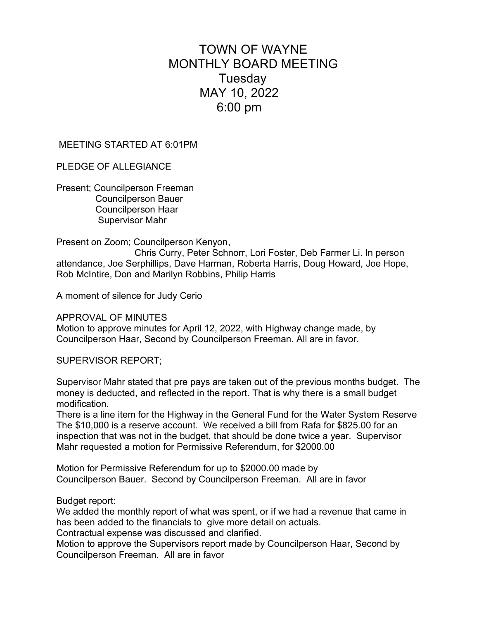## TOWN OF WAYNE MONTHLY BOARD MEETING **Tuesday** MAY 10, 2022 6:00 pm

## MEETING STARTED AT 6:01PM

PLEDGE OF ALLEGIANCE

Present; Councilperson Freeman Councilperson Bauer Councilperson Haar Supervisor Mahr

Present on Zoom; Councilperson Kenyon,

 Chris Curry, Peter Schnorr, Lori Foster, Deb Farmer Li. In person attendance, Joe Serphillips, Dave Harman, Roberta Harris, Doug Howard, Joe Hope, Rob McIntire, Don and Marilyn Robbins, Philip Harris

A moment of silence for Judy Cerio

APPROVAL OF MINUTES

Motion to approve minutes for April 12, 2022, with Highway change made, by Councilperson Haar, Second by Councilperson Freeman. All are in favor.

SUPERVISOR REPORT;

Supervisor Mahr stated that pre pays are taken out of the previous months budget. The money is deducted, and reflected in the report. That is why there is a small budget modification.

There is a line item for the Highway in the General Fund for the Water System Reserve The \$10,000 is a reserve account. We received a bill from Rafa for \$825.00 for an inspection that was not in the budget, that should be done twice a year. Supervisor Mahr requested a motion for Permissive Referendum, for \$2000.00

Motion for Permissive Referendum for up to \$2000.00 made by Councilperson Bauer. Second by Councilperson Freeman. All are in favor

Budget report:

We added the monthly report of what was spent, or if we had a revenue that came in has been added to the financials to give more detail on actuals.

Contractual expense was discussed and clarified.

Motion to approve the Supervisors report made by Councilperson Haar, Second by Councilperson Freeman. All are in favor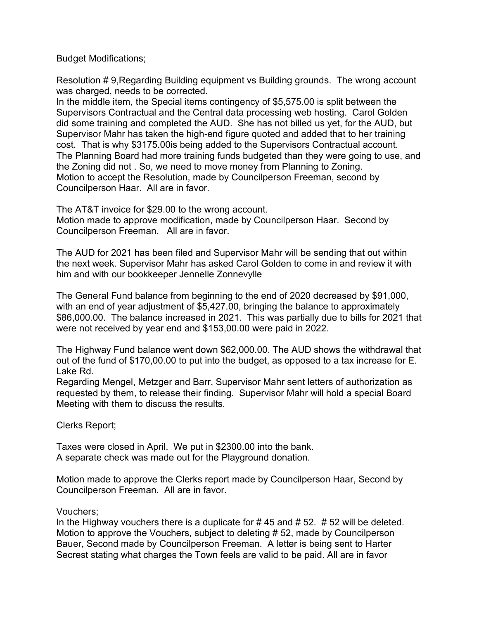Budget Modifications;

Resolution # 9,Regarding Building equipment vs Building grounds. The wrong account was charged, needs to be corrected.

In the middle item, the Special items contingency of \$5,575.00 is split between the Supervisors Contractual and the Central data processing web hosting. Carol Golden did some training and completed the AUD. She has not billed us yet, for the AUD, but Supervisor Mahr has taken the high-end figure quoted and added that to her training cost. That is why \$3175.00is being added to the Supervisors Contractual account. The Planning Board had more training funds budgeted than they were going to use, and the Zoning did not . So, we need to move money from Planning to Zoning. Motion to accept the Resolution, made by Councilperson Freeman, second by Councilperson Haar. All are in favor.

The AT&T invoice for \$29.00 to the wrong account. Motion made to approve modification, made by Councilperson Haar. Second by Councilperson Freeman. All are in favor.

The AUD for 2021 has been filed and Supervisor Mahr will be sending that out within the next week. Supervisor Mahr has asked Carol Golden to come in and review it with him and with our bookkeeper Jennelle Zonnevylle

The General Fund balance from beginning to the end of 2020 decreased by \$91,000, with an end of year adjustment of \$5,427.00, bringing the balance to approximately \$86,000.00. The balance increased in 2021. This was partially due to bills for 2021 that were not received by year end and \$153,00.00 were paid in 2022.

The Highway Fund balance went down \$62,000.00. The AUD shows the withdrawal that out of the fund of \$170,00.00 to put into the budget, as opposed to a tax increase for E. Lake Rd.

Regarding Mengel, Metzger and Barr, Supervisor Mahr sent letters of authorization as requested by them, to release their finding. Supervisor Mahr will hold a special Board Meeting with them to discuss the results.

Clerks Report;

Taxes were closed in April. We put in \$2300.00 into the bank. A separate check was made out for the Playground donation.

Motion made to approve the Clerks report made by Councilperson Haar, Second by Councilperson Freeman. All are in favor.

## Vouchers;

In the Highway vouchers there is a duplicate for  $\# 45$  and  $\# 52$ .  $\# 52$  will be deleted. Motion to approve the Vouchers, subject to deleting # 52, made by Councilperson Bauer, Second made by Councilperson Freeman. A letter is being sent to Harter Secrest stating what charges the Town feels are valid to be paid. All are in favor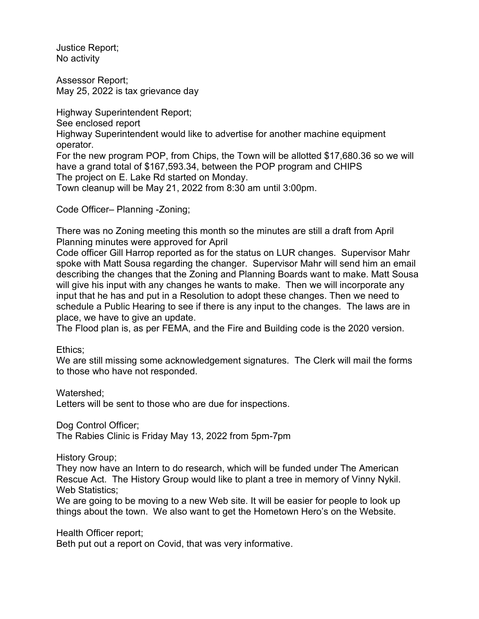Justice Report; No activity

Assessor Report; May 25, 2022 is tax grievance day

Highway Superintendent Report; See enclosed report Highway Superintendent would like to advertise for another machine equipment operator. For the new program POP, from Chips, the Town will be allotted \$17,680.36 so we will have a grand total of \$167,593.34, between the POP program and CHIPS The project on E. Lake Rd started on Monday. Town cleanup will be May 21, 2022 from 8:30 am until 3:00pm.

Code Officer– Planning -Zoning;

There was no Zoning meeting this month so the minutes are still a draft from April Planning minutes were approved for April

Code officer Gill Harrop reported as for the status on LUR changes. Supervisor Mahr spoke with Matt Sousa regarding the changer. Supervisor Mahr will send him an email describing the changes that the Zoning and Planning Boards want to make. Matt Sousa will give his input with any changes he wants to make. Then we will incorporate any input that he has and put in a Resolution to adopt these changes. Then we need to schedule a Public Hearing to see if there is any input to the changes. The laws are in place, we have to give an update.

The Flood plan is, as per FEMA, and the Fire and Building code is the 2020 version.

Ethics;

We are still missing some acknowledgement signatures. The Clerk will mail the forms to those who have not responded.

Watershed;

Letters will be sent to those who are due for inspections.

Dog Control Officer; The Rabies Clinic is Friday May 13, 2022 from 5pm-7pm

History Group;

They now have an Intern to do research, which will be funded under The American Rescue Act. The History Group would like to plant a tree in memory of Vinny Nykil. Web Statistics;

We are going to be moving to a new Web site. It will be easier for people to look up things about the town. We also want to get the Hometown Hero's on the Website.

Health Officer report;

Beth put out a report on Covid, that was very informative.